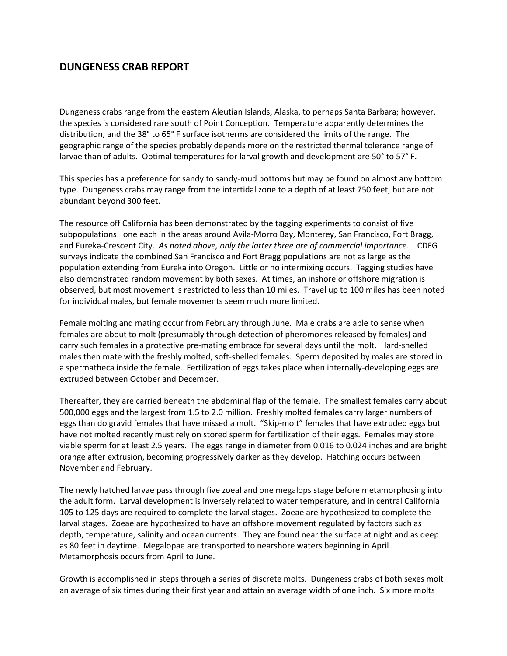# **DUNGENESS CRAB REPORT**

Dungeness crabs range from the eastern Aleutian Islands, Alaska, to perhaps Santa Barbara; however, the species is considered rare south of Point Conception. Temperature apparently determines the distribution, and the 38° to 65° F surface isotherms are considered the limits of the range. The geographic range of the species probably depends more on the restricted thermal tolerance range of larvae than of adults. Optimal temperatures for larval growth and development are 50° to 57° F.

This species has a preference for sandy to sandy-mud bottoms but may be found on almost any bottom type. Dungeness crabs may range from the intertidal zone to a depth of at least 750 feet, but are not abundant beyond 300 feet.

The resource off California has been demonstrated by the tagging experiments to consist of five subpopulations: one each in the areas around Avila-Morro Bay, Monterey, San Francisco, Fort Bragg, and Eureka-Crescent City. *As noted above, only the latter three are of commercial importance*. CDFG surveys indicate the combined San Francisco and Fort Bragg populations are not as large as the population extending from Eureka into Oregon. Little or no intermixing occurs. Tagging studies have also demonstrated random movement by both sexes. At times, an inshore or offshore migration is observed, but most movement is restricted to less than 10 miles. Travel up to 100 miles has been noted for individual males, but female movements seem much more limited.

Female molting and mating occur from February through June. Male crabs are able to sense when females are about to molt (presumably through detection of pheromones released by females) and carry such females in a protective pre-mating embrace for several days until the molt. Hard-shelled males then mate with the freshly molted, soft-shelled females. Sperm deposited by males are stored in a spermatheca inside the female. Fertilization of eggs takes place when internally-developing eggs are extruded between October and December.

Thereafter, they are carried beneath the abdominal flap of the female. The smallest females carry about 500,000 eggs and the largest from 1.5 to 2.0 million. Freshly molted females carry larger numbers of eggs than do gravid females that have missed a molt. "Skip-molt" females that have extruded eggs but have not molted recently must rely on stored sperm for fertilization of their eggs. Females may store viable sperm for at least 2.5 years. The eggs range in diameter from 0.016 to 0.024 inches and are bright orange after extrusion, becoming progressively darker as they develop. Hatching occurs between November and February.

The newly hatched larvae pass through five zoeal and one megalops stage before metamorphosing into the adult form. Larval development is inversely related to water temperature, and in central California 105 to 125 days are required to complete the larval stages. Zoeae are hypothesized to complete the larval stages. Zoeae are hypothesized to have an offshore movement regulated by factors such as depth, temperature, salinity and ocean currents. They are found near the surface at night and as deep as 80 feet in daytime. Megalopae are transported to nearshore waters beginning in April. Metamorphosis occurs from April to June.

Growth is accomplished in steps through a series of discrete molts. Dungeness crabs of both sexes molt an average of six times during their first year and attain an average width of one inch. Six more molts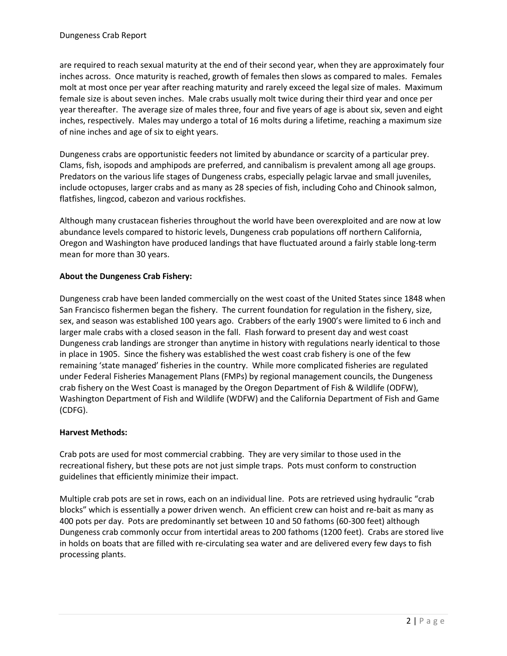are required to reach sexual maturity at the end of their second year, when they are approximately four inches across. Once maturity is reached, growth of females then slows as compared to males. Females molt at most once per year after reaching maturity and rarely exceed the legal size of males. Maximum female size is about seven inches. Male crabs usually molt twice during their third year and once per year thereafter. The average size of males three, four and five years of age is about six, seven and eight inches, respectively. Males may undergo a total of 16 molts during a lifetime, reaching a maximum size of nine inches and age of six to eight years.

Dungeness crabs are opportunistic feeders not limited by abundance or scarcity of a particular prey. Clams, fish, isopods and amphipods are preferred, and cannibalism is prevalent among all age groups. Predators on the various life stages of Dungeness crabs, especially pelagic larvae and small juveniles, include octopuses, larger crabs and as many as 28 species of fish, including Coho and Chinook salmon, flatfishes, lingcod, cabezon and various rockfishes.

Although many crustacean fisheries throughout the world have been overexploited and are now at low abundance levels compared to historic levels, Dungeness crab populations off northern California, Oregon and Washington have produced landings that have fluctuated around a fairly stable long-term mean for more than 30 years.

## **About the Dungeness Crab Fishery:**

Dungeness crab have been landed commercially on the west coast of the United States since 1848 when San Francisco fishermen began the fishery. The current foundation for regulation in the fishery, size, sex, and season was established 100 years ago. Crabbers of the early 1900's were limited to 6 inch and larger male crabs with a closed season in the fall. Flash forward to present day and west coast Dungeness crab landings are stronger than anytime in history with regulations nearly identical to those in place in 1905. Since the fishery was established the west coast crab fishery is one of the few remaining 'state managed' fisheries in the country. While more complicated fisheries are regulated under Federal Fisheries Management Plans (FMPs) by regional management councils, the Dungeness crab fishery on the West Coast is managed by the Oregon Department of Fish & Wildlife (ODFW), Washington Department of Fish and Wildlife (WDFW) and the California Department of Fish and Game (CDFG).

## **Harvest Methods:**

Crab pots are used for most commercial crabbing. They are very similar to those used in the recreational fishery, but these pots are not just simple traps. Pots must conform to construction guidelines that efficiently minimize their impact.

Multiple crab pots are set in rows, each on an individual line. Pots are retrieved using hydraulic "crab blocks" which is essentially a power driven wench. An efficient crew can hoist and re-bait as many as 400 pots per day. Pots are predominantly set between 10 and 50 fathoms (60-300 feet) although Dungeness crab commonly occur from intertidal areas to 200 fathoms (1200 feet). Crabs are stored live in holds on boats that are filled with re-circulating sea water and are delivered every few days to fish processing plants.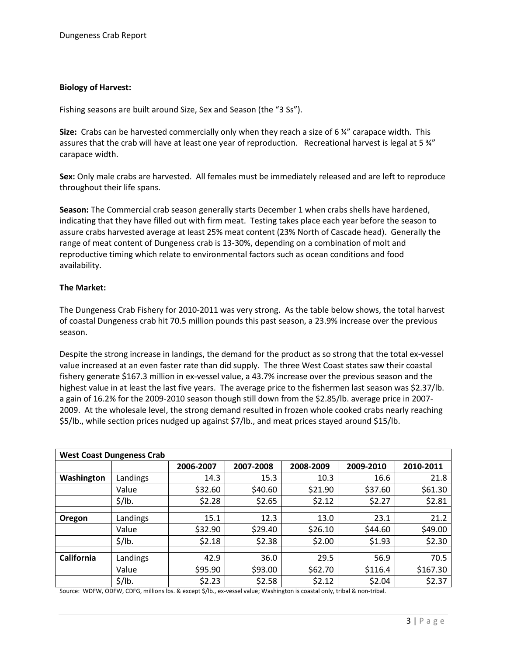## **Biology of Harvest:**

Fishing seasons are built around Size, Sex and Season (the "3 Ss").

**Size:** Crabs can be harvested commercially only when they reach a size of 6 ¼" carapace width. This assures that the crab will have at least one year of reproduction. Recreational harvest is legal at 5  $\frac{3}{4}$ " carapace width.

**Sex:** Only male crabs are harvested. All females must be immediately released and are left to reproduce throughout their life spans.

**Season:** The Commercial crab season generally starts December 1 when crabs shells have hardened, indicating that they have filled out with firm meat. Testing takes place each year before the season to assure crabs harvested average at least 25% meat content (23% North of Cascade head). Generally the range of meat content of Dungeness crab is 13-30%, depending on a combination of molt and reproductive timing which relate to environmental factors such as ocean conditions and food availability.

### **The Market:**

The Dungeness Crab Fishery for 2010-2011 was very strong. As the table below shows, the total harvest of coastal Dungeness crab hit 70.5 million pounds this past season, a 23.9% increase over the previous season.

Despite the strong increase in landings, the demand for the product as so strong that the total ex-vessel value increased at an even faster rate than did supply. The three West Coast states saw their coastal fishery generate \$167.3 million in ex-vessel value, a 43.7% increase over the previous season and the highest value in at least the last five years. The average price to the fishermen last season was \$2.37/lb. a gain of 16.2% for the 2009-2010 season though still down from the \$2.85/lb. average price in 2007- 2009. At the wholesale level, the strong demand resulted in frozen whole cooked crabs nearly reaching \$5/lb., while section prices nudged up against \$7/lb., and meat prices stayed around \$15/lb.

| <b>West Coast Dungeness Crab</b> |                    |           |           |           |           |           |
|----------------------------------|--------------------|-----------|-----------|-----------|-----------|-----------|
|                                  |                    | 2006-2007 | 2007-2008 | 2008-2009 | 2009-2010 | 2010-2011 |
| Washington                       | Landings           | 14.3      | 15.3      | 10.3      | 16.6      | 21.8      |
|                                  | Value              | \$32.60   | \$40.60   | \$21.90   | \$37.60   | \$61.30   |
|                                  | $\frac{2}{3}$ /lb. | \$2.28    | \$2.65    | \$2.12    | \$2.27    | \$2.81    |
|                                  |                    |           |           |           |           |           |
| Oregon                           | Landings           | 15.1      | 12.3      | 13.0      | 23.1      | 21.2      |
|                                  | Value              | \$32.90   | \$29.40   | \$26.10   | \$44.60   | \$49.00   |
|                                  | \$/lb.             | \$2.18    | \$2.38    | \$2.00    | \$1.93    | \$2.30    |
|                                  |                    |           |           |           |           |           |
| California                       | Landings           | 42.9      | 36.0      | 29.5      | 56.9      | 70.5      |
|                                  | Value              | \$95.90   | \$93.00   | \$62.70   | \$116.4   | \$167.30  |
|                                  | $\frac{2}{3}$ /lb. | \$2.23    | \$2.58    | \$2.12    | \$2.04    | \$2.37    |

Source: WDFW, ODFW, CDFG, millions lbs. & except \$/lb., ex-vessel value; Washington is coastal only, tribal & non-tribal.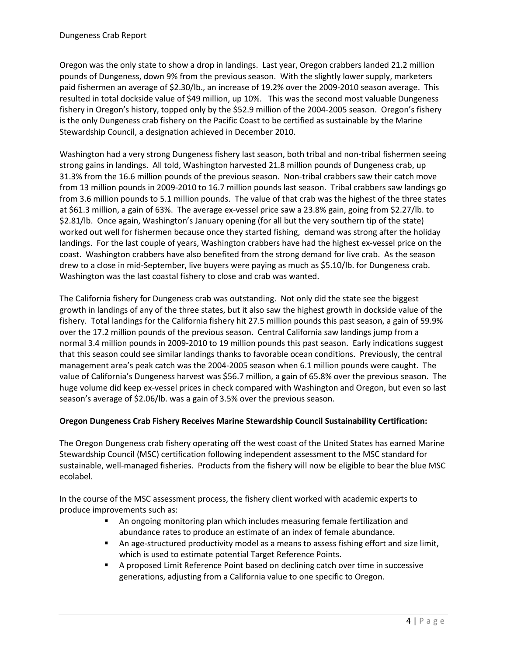Oregon was the only state to show a drop in landings. Last year, Oregon crabbers landed 21.2 million pounds of Dungeness, down 9% from the previous season. With the slightly lower supply, marketers paid fishermen an average of \$2.30/lb., an increase of 19.2% over the 2009-2010 season average. This resulted in total dockside value of \$49 million, up 10%. This was the second most valuable Dungeness fishery in Oregon's history, topped only by the \$52.9 million of the 2004-2005 season. Oregon's fishery is the only Dungeness crab fishery on the Pacific Coast to be certified as sustainable by the Marine Stewardship Council, a designation achieved in December 2010.

Washington had a very strong Dungeness fishery last season, both tribal and non-tribal fishermen seeing strong gains in landings. All told, Washington harvested 21.8 million pounds of Dungeness crab, up 31.3% from the 16.6 million pounds of the previous season. Non-tribal crabbers saw their catch move from 13 million pounds in 2009-2010 to 16.7 million pounds last season. Tribal crabbers saw landings go from 3.6 million pounds to 5.1 million pounds. The value of that crab was the highest of the three states at \$61.3 million, a gain of 63%. The average ex-vessel price saw a 23.8% gain, going from \$2.27/lb. to \$2.81/lb. Once again, Washington's January opening (for all but the very southern tip of the state) worked out well for fishermen because once they started fishing, demand was strong after the holiday landings. For the last couple of years, Washington crabbers have had the highest ex-vessel price on the coast. Washington crabbers have also benefited from the strong demand for live crab. As the season drew to a close in mid-September, live buyers were paying as much as \$5.10/lb. for Dungeness crab. Washington was the last coastal fishery to close and crab was wanted.

The California fishery for Dungeness crab was outstanding. Not only did the state see the biggest growth in landings of any of the three states, but it also saw the highest growth in dockside value of the fishery. Total landings for the California fishery hit 27.5 million pounds this past season, a gain of 59.9% over the 17.2 million pounds of the previous season. Central California saw landings jump from a normal 3.4 million pounds in 2009-2010 to 19 million pounds this past season. Early indications suggest that this season could see similar landings thanks to favorable ocean conditions. Previously, the central management area's peak catch was the 2004-2005 season when 6.1 million pounds were caught. The value of California's Dungeness harvest was \$56.7 million, a gain of 65.8% over the previous season. The huge volume did keep ex-vessel prices in check compared with Washington and Oregon, but even so last season's average of \$2.06/lb. was a gain of 3.5% over the previous season.

## **Oregon Dungeness Crab Fishery Receives Marine Stewardship Council Sustainability Certification:**

The Oregon Dungeness crab fishery operating off the west coast of the United States has earned Marine Stewardship Council (MSC) certification following independent assessment to the MSC standard for sustainable, well-managed fisheries. Products from the fishery will now be eligible to bear the blue MSC ecolabel.

In the course of the MSC assessment process, the fishery client worked with academic experts to produce improvements such as:

- An ongoing monitoring plan which includes measuring female fertilization and abundance rates to produce an estimate of an index of female abundance.
- An age-structured productivity model as a means to assess fishing effort and size limit, which is used to estimate potential Target Reference Points.
- A proposed Limit Reference Point based on declining catch over time in successive generations, adjusting from a California value to one specific to Oregon.